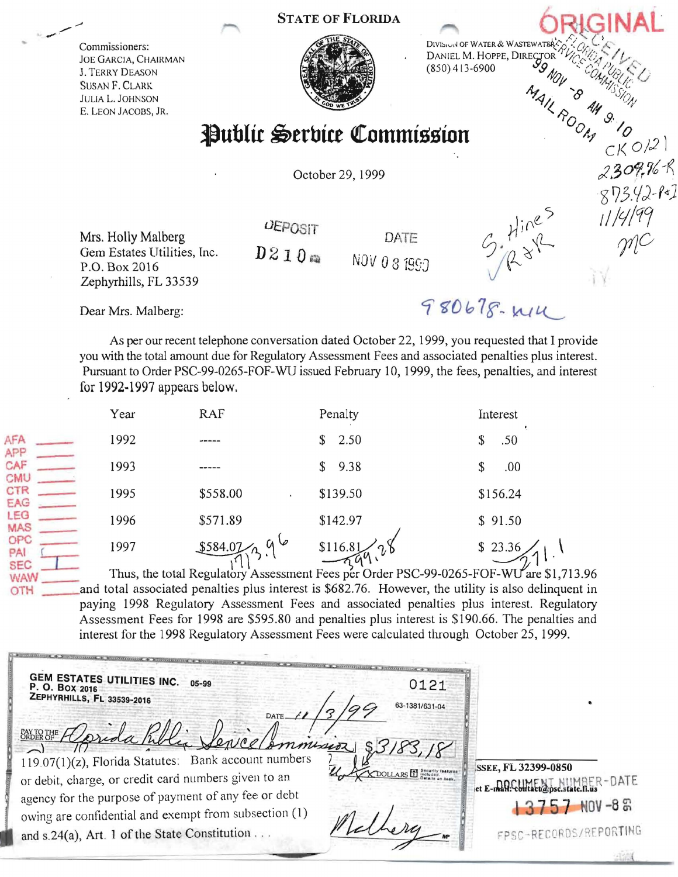## STATE OF FLORIDA





 $5.7111005$ 

980678-W14

October 29, 1999

Mrs. Holly Malberg  $\overline{O}$ EPOSIT DATE<br>Gem Estates Utilities, Inc.  $\overline{D}$  2 1 0 m Gem Estates Utilities, Inc.  $D \le 1$  *U*  $\omega$  NOV 0 8 199 Zephyrhills, FL 33539

Dear Mrs. Ma1berg:

As per our recent telephone conversation dated October 22, 1999, you requested that I provide you with the total amount due for Regulatory Assessment Fees and associated penalties plus interest. Pursuant to Order PSC-99-0265-FOF-WU issued February 10, 1999, the fees, penalties, and interest for 1992-1997 appears below,

|                             | Year | RAF                  | Penalty                                                                           | Interest |
|-----------------------------|------|----------------------|-----------------------------------------------------------------------------------|----------|
| AFA<br>APP                  | 1992 |                      | 2.50<br>\$                                                                        | .50      |
| CAF<br>CMU                  | 1993 |                      | 9.38<br>\$                                                                        | .00      |
| CTR<br>EAG                  | 1995 | \$558.00             | \$139.50                                                                          | \$156.24 |
| LEG<br><b>MAS</b>           | 1996 | \$571.89             | \$142.97                                                                          | \$91.50  |
| OPC<br>PAI                  | 1997 | $a\circ$<br>\$584.07 | \$116.81                                                                          | \$23.36  |
| <b>SEC</b><br><b>SECRET</b> |      |                      | Thus the total Regulatory Assessment Fees per Order PSC-99-0265-FOF-WI Lare \$1.7 |          |

 $W = \frac{1}{11}$  Thus, the total Regulatory Assessment Fees per Order PSC-99-0265-FOF-WU are \$1,713.96 OTH and total associated penalties plus interest is \$682.76. However, the utility is also delinquent in paying 1998 Regulatory Assessment Fees and associated penalties plus interest. Regulatory Assessment Fees for 1998 are \$595.80 and penalties plus interest is \$190.66. The penalties and interest for the 1998 Regulatory Assessment Fees were calculated through October 25, 1999.

| <b>GEM ESTATES UTILITIES INC.</b><br>0121<br>05-99<br>P. O. BOX 2016<br><b>ZEPHYRHILLS, FL 33539-2016</b><br>63-1381/631-04                                                                                                                                                                    |                                                                                                             |
|------------------------------------------------------------------------------------------------------------------------------------------------------------------------------------------------------------------------------------------------------------------------------------------------|-------------------------------------------------------------------------------------------------------------|
| Smontseor<br>$119.07(1)(z)$ , Florida Statutes: Bank account numbers<br>or debit, charge, or credit card numbers given to an<br>agency for the purpose of payment of any fee or debt<br>owing are confidential and exempt from subsection (1)<br>and s.24(a), Art. 1 of the State Constitution | <b>SSEE, FL 32399-0850</b><br>et E-man-Colline Descatate .n.us<br>$7$ NOV -8 $\%$<br>FPSC-RECORDS/REPORTING |

<sup>8.</sup>10<br>CK 012

2309.76-R

 $873.42 - 81$ <br>873.42-81

 $\gamma\gamma$ C